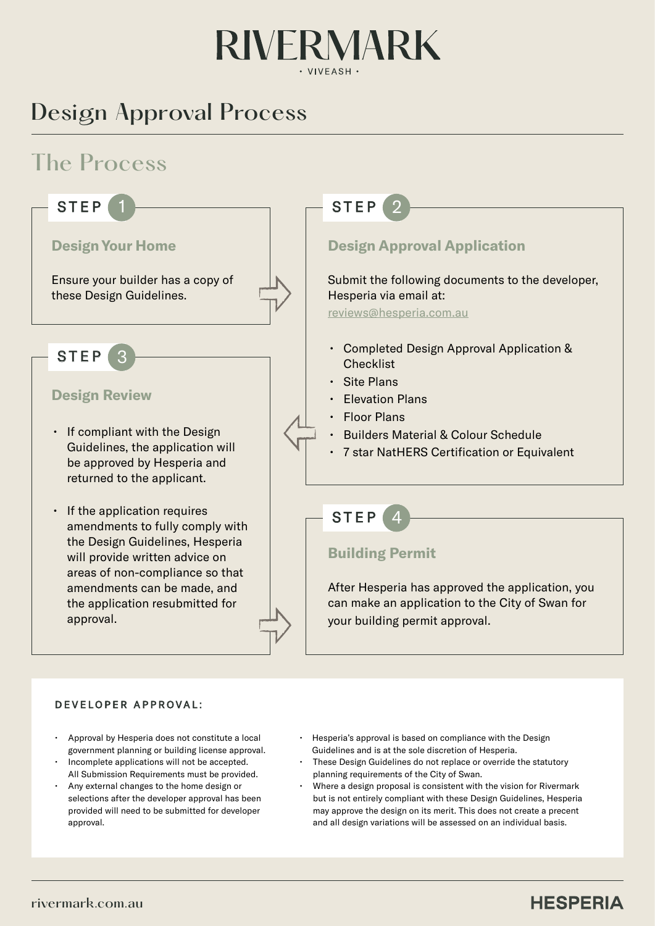# **RIVERMARK**

# Design Approval Process

# The Process



### DEVELOPER APPROVAL:

- Approval by Hesperia does not constitute a local government planning or building license approval.
- Incomplete applications will not be accepted. All Submission Requirements must be provided.
- Any external changes to the home design or selections after the developer approval has been provided will need to be submitted for developer approval.
- Hesperia's approval is based on compliance with the Design Guidelines and is at the sole discretion of Hesperia.
- These Design Guidelines do not replace or override the statutory planning requirements of the City of Swan.
- Where a design proposal is consistent with the vision for Rivermark but is not entirely compliant with these Design Guidelines, Hesperia may approve the design on its merit. This does not create a precent and all design variations will be assessed on an individual basis.

### **HESPERIA**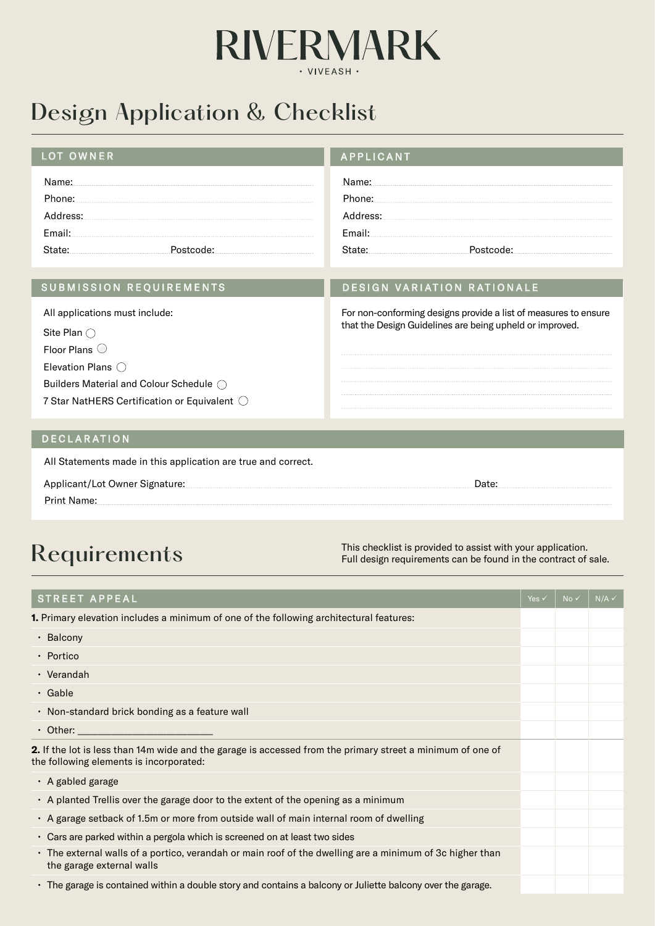### **RIVERMARK** · VIVEASH ·

# Design Application & Checklist

| LOT OWNER | APPLICANT |
|-----------|-----------|
|           | Name:     |
| Phone:    | Phone:    |
| lress:    | dress:    |
| Fmail:    | Email:    |
|           |           |
|           |           |

All applications must include: Site Plan  $\bigcirc$ Builders Material and Colour Schedule 7 Star NatHERS Certification or Equivalent  $\bigcirc$ Floor Plans  $\bigcirc$ Elevation Plans  $\bigcirc$ 

### SUBMISSION REQUIREMENTS DESIGN VARIATION RATIONALE

For non-conforming designs provide a list of measures to ensure that the Design Guidelines are being upheld or improved.

### DECLARATION

All Statements made in this application are true and correct.

Applicant/Lot Owner Signature: Date: Date: Date: Date: Date: Date: Date: Date: Date: Date: Date: Date: Date: Date: Date: Date: Date: Date: Date: Date: Date: Date: Date: Date: Date: Date: Date: Date: Date: Date: Date: Date: Print Name:

# Requirements

This checklist is provided to assist with your application. Full design requirements can be found in the contract of sale.

| <b>STREET APPEAL</b>                                                                                                                                  | Yes $\checkmark$ | $No \checkmark$ | $N/A \checkmark$ |
|-------------------------------------------------------------------------------------------------------------------------------------------------------|------------------|-----------------|------------------|
| <b>1.</b> Primary elevation includes a minimum of one of the following architectural features:                                                        |                  |                 |                  |
| • Balcony                                                                                                                                             |                  |                 |                  |
| • Portico                                                                                                                                             |                  |                 |                  |
| • Verandah                                                                                                                                            |                  |                 |                  |
| $\cdot$ Gable                                                                                                                                         |                  |                 |                  |
| · Non-standard brick bonding as a feature wall                                                                                                        |                  |                 |                  |
| $\cdot$ Other: the contract of $\cdot$                                                                                                                |                  |                 |                  |
| 2. If the lot is less than 14m wide and the garage is accessed from the primary street a minimum of one of<br>the following elements is incorporated: |                  |                 |                  |
| • A gabled garage                                                                                                                                     |                  |                 |                  |
| • A planted Trellis over the garage door to the extent of the opening as a minimum                                                                    |                  |                 |                  |
| • A garage setback of 1.5m or more from outside wall of main internal room of dwelling                                                                |                  |                 |                  |
| • Cars are parked within a pergola which is screened on at least two sides                                                                            |                  |                 |                  |
| · The external walls of a portico, verandah or main roof of the dwelling are a minimum of 3c higher than<br>the garage external walls                 |                  |                 |                  |
| • The garage is contained within a double story and contains a balcony or Juliette balcony over the garage.                                           |                  |                 |                  |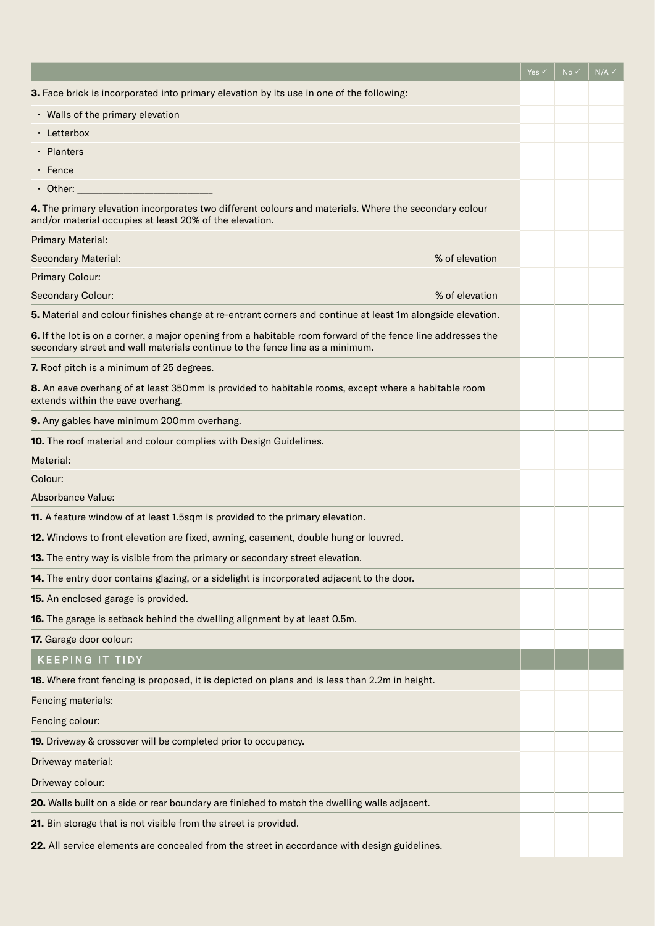|                                                                                                                                                                                             | Yes √ | $No \checkmark$ | $N/A \checkmark$ |
|---------------------------------------------------------------------------------------------------------------------------------------------------------------------------------------------|-------|-----------------|------------------|
| 3. Face brick is incorporated into primary elevation by its use in one of the following:                                                                                                    |       |                 |                  |
| • Walls of the primary elevation                                                                                                                                                            |       |                 |                  |
| $\cdot$ Letterbox                                                                                                                                                                           |       |                 |                  |
| • Planters                                                                                                                                                                                  |       |                 |                  |
| • Fence                                                                                                                                                                                     |       |                 |                  |
| $\cdot$ Other:                                                                                                                                                                              |       |                 |                  |
| 4. The primary elevation incorporates two different colours and materials. Where the secondary colour<br>and/or material occupies at least 20% of the elevation.                            |       |                 |                  |
| <b>Primary Material:</b>                                                                                                                                                                    |       |                 |                  |
| Secondary Material:<br>% of elevation                                                                                                                                                       |       |                 |                  |
| <b>Primary Colour:</b>                                                                                                                                                                      |       |                 |                  |
| Secondary Colour:<br>% of elevation                                                                                                                                                         |       |                 |                  |
| 5. Material and colour finishes change at re-entrant corners and continue at least 1m alongside elevation.                                                                                  |       |                 |                  |
| 6. If the lot is on a corner, a major opening from a habitable room forward of the fence line addresses the<br>secondary street and wall materials continue to the fence line as a minimum. |       |                 |                  |
| 7. Roof pitch is a minimum of 25 degrees.                                                                                                                                                   |       |                 |                  |
| 8. An eave overhang of at least 350mm is provided to habitable rooms, except where a habitable room<br>extends within the eave overhang.                                                    |       |                 |                  |
| 9. Any gables have minimum 200mm overhang.                                                                                                                                                  |       |                 |                  |
| 10. The roof material and colour complies with Design Guidelines.                                                                                                                           |       |                 |                  |
| Material:                                                                                                                                                                                   |       |                 |                  |
| Colour:                                                                                                                                                                                     |       |                 |                  |
| Absorbance Value:                                                                                                                                                                           |       |                 |                  |
| 11. A feature window of at least 1.5sqm is provided to the primary elevation.                                                                                                               |       |                 |                  |
| 12. Windows to front elevation are fixed, awning, casement, double hung or louvred.                                                                                                         |       |                 |                  |
| 13. The entry way is visible from the primary or secondary street elevation.                                                                                                                |       |                 |                  |
| 14. The entry door contains glazing, or a sidelight is incorporated adjacent to the door.                                                                                                   |       |                 |                  |
| 15. An enclosed garage is provided.                                                                                                                                                         |       |                 |                  |
| 16. The garage is setback behind the dwelling alignment by at least 0.5m.                                                                                                                   |       |                 |                  |
| 17. Garage door colour:                                                                                                                                                                     |       |                 |                  |
| <b>KEEPING IT TIDY</b>                                                                                                                                                                      |       |                 |                  |
| 18. Where front fencing is proposed, it is depicted on plans and is less than 2.2m in height.                                                                                               |       |                 |                  |
| Fencing materials:                                                                                                                                                                          |       |                 |                  |
| Fencing colour:                                                                                                                                                                             |       |                 |                  |
| 19. Driveway & crossover will be completed prior to occupancy.                                                                                                                              |       |                 |                  |
| Driveway material:                                                                                                                                                                          |       |                 |                  |
| Driveway colour:                                                                                                                                                                            |       |                 |                  |
| 20. Walls built on a side or rear boundary are finished to match the dwelling walls adjacent.                                                                                               |       |                 |                  |
| 21. Bin storage that is not visible from the street is provided.                                                                                                                            |       |                 |                  |
| 22. All service elements are concealed from the street in accordance with design guidelines.                                                                                                |       |                 |                  |
|                                                                                                                                                                                             |       |                 |                  |